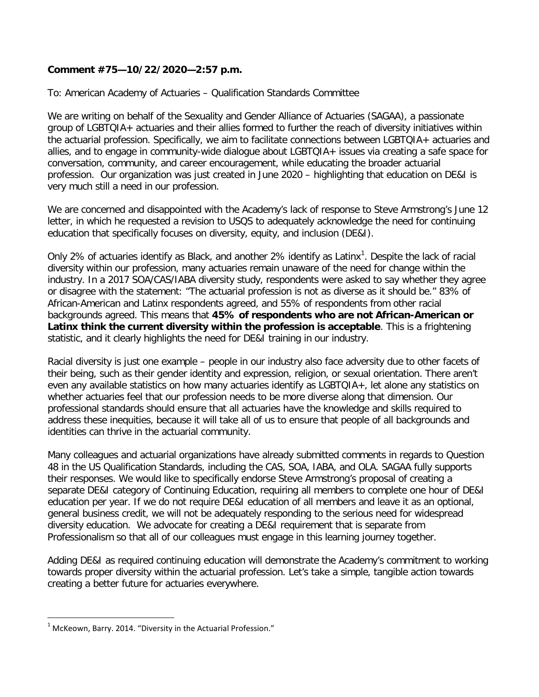## **Comment #75—10/22/2020—2:57 p.m.**

To: American Academy of Actuaries – Qualification Standards Committee

We are writing on behalf of the Sexuality and Gender Alliance of Actuaries (SAGAA), a passionate group of LGBTQIA+ actuaries and their allies formed to further the reach of diversity initiatives within the actuarial profession. Specifically, we aim to facilitate connections between LGBTQIA+ actuaries and allies, and to engage in community-wide dialogue about LGBTQIA+ issues via creating a safe space for conversation, community, and career encouragement, while educating the broader actuarial profession. Our organization was just created in June 2020 – highlighting that education on DE&I is very much still a need in our profession.

We are concerned and disappointed with the Academy's lack of response to Steve Armstrong's June 12 letter, in which he requested a revision to USQS to adequately acknowledge the need for continuing education that specifically focuses on diversity, equity, and inclusion (DE&I).

Only 2% of actuaries identify as Black, and another 2% identify as Latinx<sup>[1](#page-0-0)</sup>. Despite the lack of racial diversity within our profession, many actuaries remain unaware of the need for change within the industry. In a 2017 SOA/CAS/IABA diversity study, respondents were asked to say whether they agree or disagree with the statement: "The actuarial profession is not as diverse as it should be." 83% of African-American and Latinx respondents agreed, and 55% of respondents from other racial backgrounds agreed. This means that **45% of respondents who are not African-American or Latinx think the current diversity within the profession is acceptable**. This is a frightening statistic, and it clearly highlights the need for DE&I training in our industry.

Racial diversity is just one example – people in our industry also face adversity due to other facets of their being, such as their gender identity and expression, religion, or sexual orientation. There aren't even any available statistics on how many actuaries identify as LGBTQIA+, let alone any statistics on whether actuaries feel that our profession needs to be more diverse along that dimension. Our professional standards should ensure that all actuaries have the knowledge and skills required to address these inequities, because it will take all of us to ensure that people of all backgrounds and identities can thrive in the actuarial community.

Many colleagues and actuarial organizations have already submitted comments in regards to Question 48 in the US Qualification Standards, including the CAS, SOA, IABA, and OLA. SAGAA fully supports their responses. We would like to specifically endorse Steve Armstrong's proposal of creating a separate DE&I category of Continuing Education, requiring all members to complete one hour of DE&I education per year. If we do not require DE&I education of all members and leave it as an optional, general business credit, we will not be adequately responding to the serious need for widespread diversity education. We advocate for creating a DE&I requirement that is separate from Professionalism so that all of our colleagues must engage in this learning journey together.

Adding DE&I as required continuing education will demonstrate the Academy's commitment to working towards proper diversity within the actuarial profession. Let's take a simple, tangible action towards creating a better future for actuaries everywhere.

<span id="page-0-0"></span> $1$  McKeown, Barry. 2014. "Diversity in the Actuarial Profession."